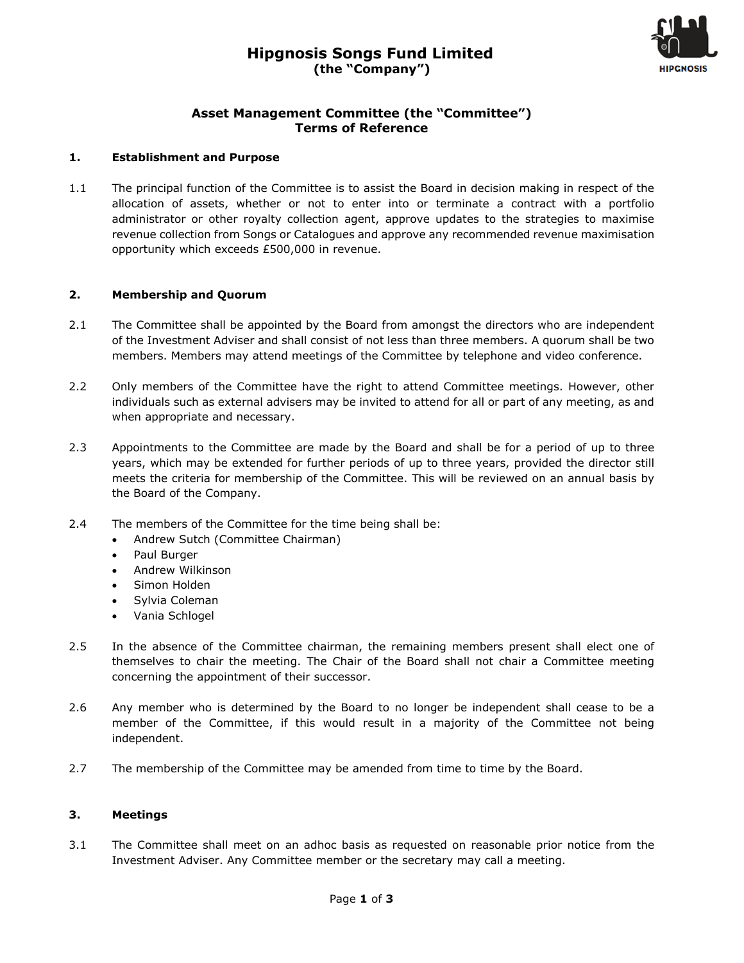

## **Asset Management Committee (the "Committee") Terms of Reference**

### **1. Establishment and Purpose**

1.1 The principal function of the Committee is to assist the Board in decision making in respect of the allocation of assets, whether or not to enter into or terminate a contract with a portfolio administrator or other royalty collection agent, approve updates to the strategies to maximise revenue collection from Songs or Catalogues and approve any recommended revenue maximisation opportunity which exceeds £500,000 in revenue.

## **2. Membership and Quorum**

- 2.1 The Committee shall be appointed by the Board from amongst the directors who are independent of the Investment Adviser and shall consist of not less than three members. A quorum shall be two members. Members may attend meetings of the Committee by telephone and video conference.
- 2.2 Only members of the Committee have the right to attend Committee meetings. However, other individuals such as external advisers may be invited to attend for all or part of any meeting, as and when appropriate and necessary.
- 2.3 Appointments to the Committee are made by the Board and shall be for a period of up to three years, which may be extended for further periods of up to three years, provided the director still meets the criteria for membership of the Committee. This will be reviewed on an annual basis by the Board of the Company.
- 2.4 The members of the Committee for the time being shall be:
	- Andrew Sutch (Committee Chairman)
	- Paul Burger
	- Andrew Wilkinson
	- Simon Holden
	- Sylvia Coleman
	- Vania Schlogel
- 2.5 In the absence of the Committee chairman, the remaining members present shall elect one of themselves to chair the meeting. The Chair of the Board shall not chair a Committee meeting concerning the appointment of their successor.
- 2.6 Any member who is determined by the Board to no longer be independent shall cease to be a member of the Committee, if this would result in a majority of the Committee not being independent.
- 2.7 The membership of the Committee may be amended from time to time by the Board.

#### **3. Meetings**

3.1 The Committee shall meet on an adhoc basis as requested on reasonable prior notice from the Investment Adviser. Any Committee member or the secretary may call a meeting.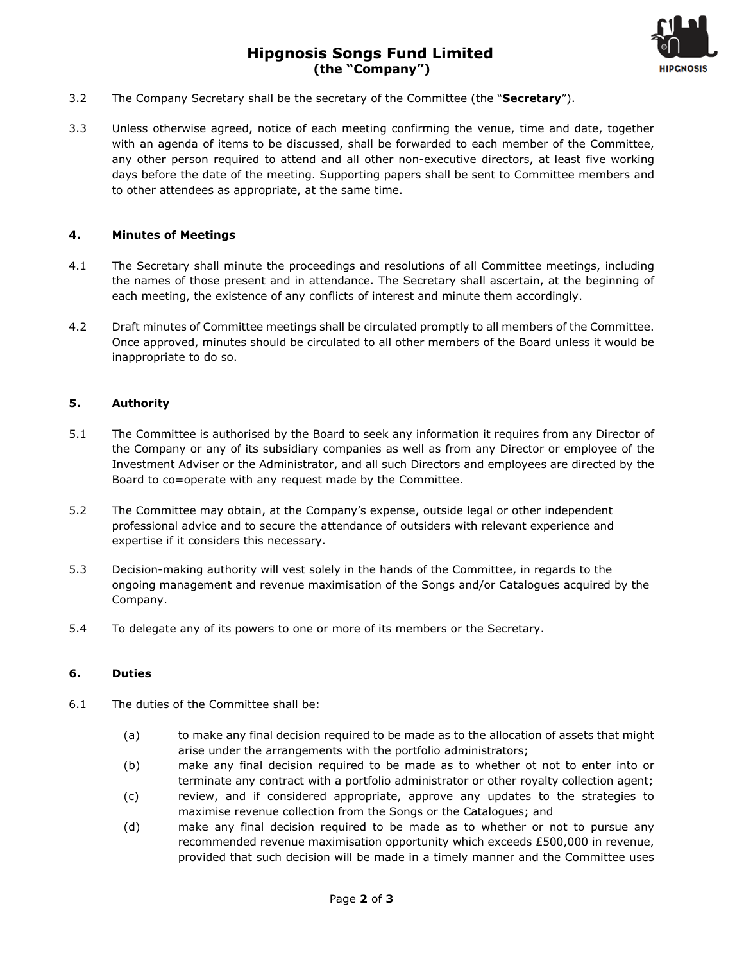# **Hipgnosis Songs Fund Limited (the "Company")**



- 3.2 The Company Secretary shall be the secretary of the Committee (the "**Secretary**").
- 3.3 Unless otherwise agreed, notice of each meeting confirming the venue, time and date, together with an agenda of items to be discussed, shall be forwarded to each member of the Committee, any other person required to attend and all other non-executive directors, at least five working days before the date of the meeting. Supporting papers shall be sent to Committee members and to other attendees as appropriate, at the same time.

#### **4. Minutes of Meetings**

- 4.1 The Secretary shall minute the proceedings and resolutions of all Committee meetings, including the names of those present and in attendance. The Secretary shall ascertain, at the beginning of each meeting, the existence of any conflicts of interest and minute them accordingly.
- 4.2 Draft minutes of Committee meetings shall be circulated promptly to all members of the Committee. Once approved, minutes should be circulated to all other members of the Board unless it would be inappropriate to do so.

#### **5. Authority**

- 5.1 The Committee is authorised by the Board to seek any information it requires from any Director of the Company or any of its subsidiary companies as well as from any Director or employee of the Investment Adviser or the Administrator, and all such Directors and employees are directed by the Board to co=operate with any request made by the Committee.
- 5.2 The Committee may obtain, at the Company's expense, outside legal or other independent professional advice and to secure the attendance of outsiders with relevant experience and expertise if it considers this necessary.
- 5.3 Decision-making authority will vest solely in the hands of the Committee, in regards to the ongoing management and revenue maximisation of the Songs and/or Catalogues acquired by the Company.
- 5.4 To delegate any of its powers to one or more of its members or the Secretary.

#### **6. Duties**

- 6.1 The duties of the Committee shall be:
	- (a) to make any final decision required to be made as to the allocation of assets that might arise under the arrangements with the portfolio administrators;
	- (b) make any final decision required to be made as to whether ot not to enter into or terminate any contract with a portfolio administrator or other royalty collection agent;
	- (c) review, and if considered appropriate, approve any updates to the strategies to maximise revenue collection from the Songs or the Catalogues; and
	- (d) make any final decision required to be made as to whether or not to pursue any recommended revenue maximisation opportunity which exceeds £500,000 in revenue, provided that such decision will be made in a timely manner and the Committee uses